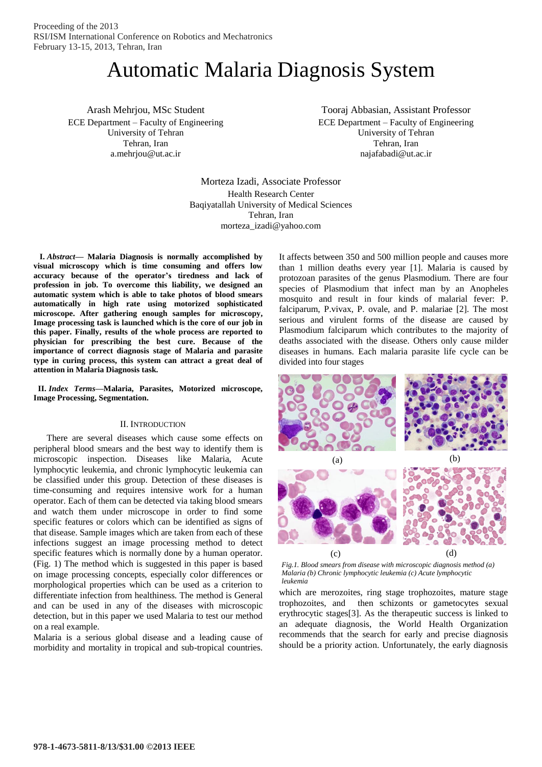# Automatic Malaria Diagnosis System

Arash Mehrjou, MSc Student ECE Department – Faculty of Engineering University of Tehran Tehran, Iran a.mehrjou@ut.ac.ir

Tooraj Abbasian, Assistant Professor ECE Department – Faculty of Engineering University of Tehran Tehran, Iran najafabadi@ut.ac.ir

Morteza Izadi, Associate Professor Health Research Center Baqiyatallah University of Medical Sciences Tehran, Iran morteza\_izadi@yahoo.com

**I.** *Abstract***— Malaria Diagnosis is normally accomplished by visual microscopy which is time consuming and offers low accuracy because of the operator's tiredness and lack of profession in job. To overcome this liability, we designed an automatic system which is able to take photos of blood smears automatically in high rate using motorized sophisticated microscope. After gathering enough samples for microscopy, Image processing task is launched which is the core of our job in this paper. Finally, results of the whole process are reported to physician for prescribing the best cure. Because of the importance of correct diagnosis stage of Malaria and parasite type in curing process, this system can attract a great deal of attention in Malaria Diagnosis task.**

**II.** *Index Terms***—Malaria, Parasites, Motorized microscope, Image Processing, Segmentation.**

# II. INTRODUCTION

There are several diseases which cause some effects on peripheral blood smears and the best way to identify them is microscopic inspection. Diseases like Malaria, Acute lymphocytic leukemia, and chronic lymphocytic leukemia can be classified under this group. Detection of these diseases is time-consuming and requires intensive work for a human operator. Each of them can be detected via taking blood smears and watch them under microscope in order to find some specific features or colors which can be identified as signs of that disease. Sample images which are taken from each of these infections suggest an image processing method to detect specific features which is normally done by a human operator. (Fig. 1) The method which is suggested in this paper is based on image processing concepts, especially color differences or morphological properties which can be used as a criterion to differentiate infection from healthiness. The method is General and can be used in any of the diseases with microscopic detection, but in this paper we used Malaria to test our method on a real example.

Malaria is a serious global disease and a leading cause of morbidity and mortality in tropical and sub-tropical countries.

It affects between 350 and 500 million people and causes more than 1 million deaths every year [1]. Malaria is caused by protozoan parasites of the genus Plasmodium. There are four species of Plasmodium that infect man by an Anopheles mosquito and result in four kinds of malarial fever: P. falciparum, P.vivax, P. ovale, and P. malariae [2]. The most serious and virulent forms of the disease are caused by Plasmodium falciparum which contributes to the majority of deaths associated with the disease. Others only cause milder diseases in humans. Each malaria parasite life cycle can be divided into four stages



Fig.1. Blood smears from disease with microscopic diagnosis method (a) *Malaria (b) Chronic lymphocytic leukemia (c) Acute lymphocytic leukemia*

which are merozoites, ring stage trophozoites, mature stage trophozoites, and then schizonts or gametocytes sexual (b)erythrocytic stages[3]. As the therapeutic success is linked to an adequate diagnosis, the World Health Organization recommends that the search for early and precise diagnosis should be a priority action. Unfortunately, the early diagnosis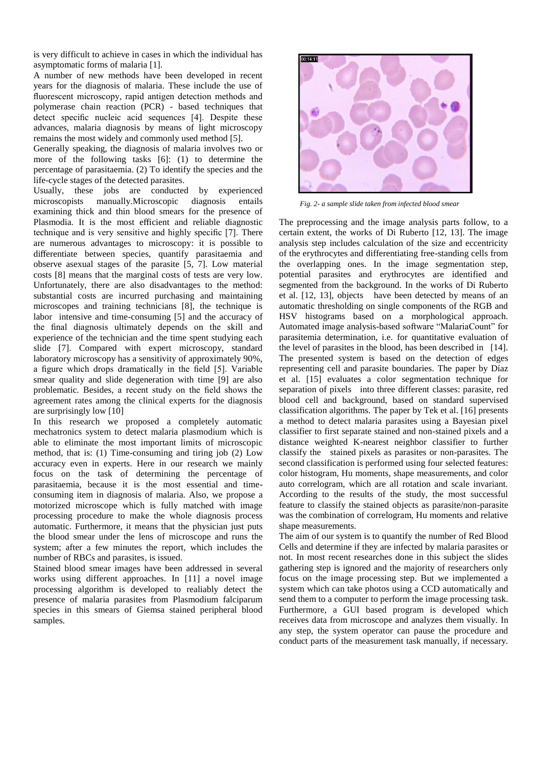is very difficult to achieve in cases in which the individual has asymptomatic forms of malaria [1].

A number of new methods have been developed in recent years for the diagnosis of malaria. These include the use of fluorescent microscopy, rapid antigen detection methods and polymerase chain reaction (PCR) - based techniques that detect specific nucleic acid sequences [4]. Despite these advances, malaria diagnosis by means of light microscopy remains the most widely and commonly used method [5].

Generally speaking, the diagnosis of malaria involves two or more of the following tasks [6]: (1) to determine the percentage of parasitaemia. (2) To identify the species and the life-cycle stages of the detected parasites.

Usually, these jobs are conducted by experienced microscopists manually.Microscopic diagnosis entails examining thick and thin blood smears for the presence of Plasmodia. It is the most efficient and reliable diagnostic technique and is very sensitive and highly specific [7]. There are numerous advantages to microscopy: it is possible to differentiate between species, quantify parasitaemia and observe asexual stages of the parasite [5, 7]. Low material costs [8] means that the marginal costs of tests are very low. Unfortunately, there are also disadvantages to the method: substantial costs are incurred purchasing and maintaining microscopes and training technicians [8], the technique is labor intensive and time-consuming [5] and the accuracy of the final diagnosis ultimately depends on the skill and experience of the technician and the time spent studying each slide [7]. Compared with expert microscopy, standard laboratory microscopy has a sensitivity of approximately 90%, a figure which drops dramatically in the field [5]. Variable smear quality and slide degeneration with time [9] are also problematic. Besides, a recent study on the field shows the agreement rates among the clinical experts for the diagnosis are surprisingly low [10]

In this research we proposed a completely automatic mechatronics system to detect malaria plasmodium which is able to eliminate the most important limits of microscopic method, that is: (1) Time-consuming and tiring job (2) Low accuracy even in experts. Here in our research we mainly focus on the task of determining the percentage of parasitaemia, because it is the most essential and timeconsuming item in diagnosis of malaria. Also, we propose a motorized microscope which is fully matched with image processing procedure to make the whole diagnosis process automatic. Furthermore, it means that the physician just puts the blood smear under the lens of microscope and runs the system; after a few minutes the report, which includes the number of RBCs and parasites, is issued.

Stained blood smear images have been addressed in several works using different approaches. In [11] a novel image processing algorithm is developed to realiably detect the presence of malaria parasites from Plasmodium falciparum species in this smears of Giemsa stained peripheral blood samples.



*Fig. 2- a sample slide taken from infected blood smear*

The preprocessing and the image analysis parts follow, to a certain extent, the works of Di Ruberto [12, 13]. The image analysis step includes calculation of the size and eccentricity of the erythrocytes and differentiating free-standing cells from the overlapping ones. In the image segmentation step, potential parasites and erythrocytes are identified and segmented from the background. In the works of Di Ruberto et al. [12, 13], objects have been detected by means of an automatic thresholding on single components of the RGB and HSV histograms based on a morphological approach. Automated image analysis-based software "MalariaCount" for parasitemia determination, i.e. for quantitative evaluation of the level of parasites in the blood, has been described in [14]. The presented system is based on the detection of edges representing cell and parasite boundaries. The paper by Díaz et al. [15] evaluates a color segmentation technique for separation of pixels into three different classes: parasite, red blood cell and background, based on standard supervised classification algorithms. The paper by Tek et al. [16] presents a method to detect malaria parasites using a Bayesian pixel classifier to first separate stained and non-stained pixels and a distance weighted K-nearest neighbor classifier to further classify the stained pixels as parasites or non-parasites. The second classification is performed using four selected features: color histogram, Hu moments, shape measurements, and color auto correlogram, which are all rotation and scale invariant. According to the results of the study, the most successful feature to classify the stained objects as parasite/non-parasite was the combination of correlogram, Hu moments and relative shape measurements.

The aim of our system is to quantify the number of Red Blood Cells and determine if they are infected by malaria parasites or not. In most recent researches done in this subject the slides gathering step is ignored and the majority of researchers only focus on the image processing step. But we implemented a system which can take photos using a CCD automatically and send them to a computer to perform the image processing task. Furthermore, a GUI based program is developed which receives data from microscope and analyzes them visually. In any step, the system operator can pause the procedure and conduct parts of the measurement task manually, if necessary.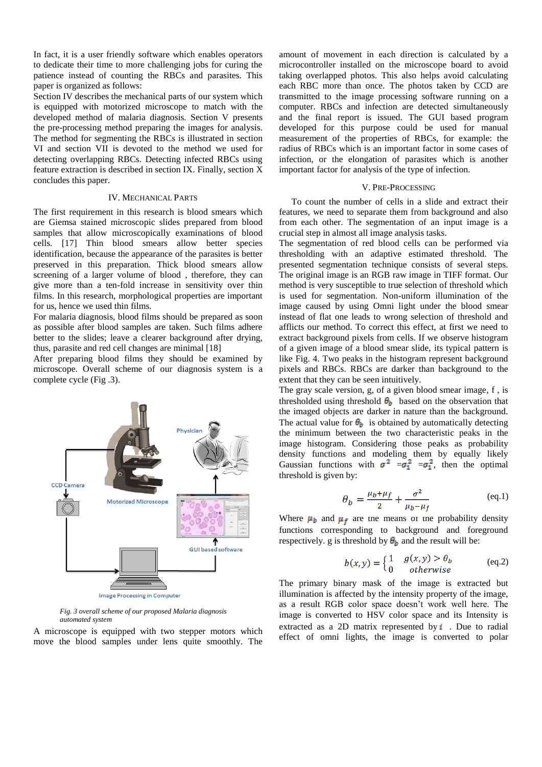In fact, it is a user friendly software which enables operators to dedicate their time to more challenging jobs for curing the patience instead of counting the RBCs and parasites. This paper is organized as follows:

Section IV describes the mechanical parts of our system which is equipped with motorized microscope to match with the developed method of malaria diagnosis. Section V presents the pre-processing method preparing the images for analysis. The method for segmenting the RBCs is illustrated in section VI and section VII is devoted to the method we used for detecting overlapping RBCs. Detecting infected RBCs using feature extraction is described in section IX. Finally, section X concludes this paper.

## IV. MECHANICAL PARTS

The first requirement in this research is blood smears which are Giemsa stained microscopic slides prepared from blood samples that allow microscopically examinations of blood cells. [17] Thin blood smears allow better species identification, because the appearance of the parasites is better preserved in this preparation. Thick blood smears allow screening of a larger volume of blood , therefore, they can give more than a ten-fold increase in sensitivity over thin films. In this research, morphological properties are important for us, hence we used thin films.

For malaria diagnosis, blood films should be prepared as soon as possible after blood samples are taken. Such films adhere better to the slides; leave a clearer background after drying, thus, parasite and red cell changes are minimal [18]

After preparing blood films they should be examined by microscope. Overall scheme of our diagnosis system is a complete cycle (Fig .3).



*Fig. 3 overall scheme of our proposed Malaria diagnosis automated system*

A microscope is equipped with two stepper motors which move the blood samples under lens quite smoothly. The amount of movement in each direction is calculated by a microcontroller installed on the microscope board to avoid taking overlapped photos. This also helps avoid calculating each RBC more than once. The photos taken by CCD are transmitted to the image processing software running on a computer. RBCs and infection are detected simultaneously and the final report is issued. The GUI based program developed for this purpose could be used for manual measurement of the properties of RBCs, for example: the radius of RBCs which is an important factor in some cases of infection, or the elongation of parasites which is another important factor for analysis of the type of infection.

## V. PRE-PROCESSING

To count the number of cells in a slide and extract their features, we need to separate them from background and also from each other. The segmentation of an input image is a crucial step in almost all image analysis tasks.

The segmentation of red blood cells can be performed via thresholding with an adaptive estimated threshold. The presented segmentation technique consists of several steps. The original image is an RGB raw image in TIFF format. Our method is very susceptible to true selection of threshold which is used for segmentation. Non-uniform illumination of the image caused by using Omni light under the blood smear instead of flat one leads to wrong selection of threshold and afflicts our method. To correct this effect, at first we need to extract background pixels from cells. If we observe histogram of a given image of a blood smear slide, its typical pattern is like Fig. 4. Two peaks in the histogram represent background pixels and RBCs. RBCs are darker than background to the extent that they can be seen intuitively.

The gray scale version, g, of a given blood smear image, f , is thresholded using threshold  $\theta_b$  based on the observation that the imaged objects are darker in nature than the background. The actual value for  $\theta_b$  is obtained by automatically detecting the minimum between the two characteristic peaks in the image histogram. Considering those peaks as probability density functions and modeling them by equally likely Gaussian functions with  $\sigma^2 = \sigma_1^2 = \sigma_1^2$ , then the optimal threshold is given by:

$$
\theta_b = \frac{\mu_b + \mu_f}{2} + \frac{\sigma^2}{\mu_b - \mu_f} \tag{eq.1}
$$

Where  $\mu_b$  and  $\mu_f$  are the means of the probability density functions corresponding to background and foreground respectively. g is threshold by  $\theta_b$  and the result will be:

$$
b(x, y) = \begin{cases} 1 & g(x, y) > \theta_b \\ 0 & otherwise \end{cases}
$$
 (eq.2)

The primary binary mask of the image is extracted but illumination is affected by the intensity property of the image, as a result RGB color space doesn't work well here. The image is converted to HSV color space and its Intensity is extracted as a 2D matrix represented by  $\mathbf{i}$ . Due to radial effect of omni lights, the image is converted to polar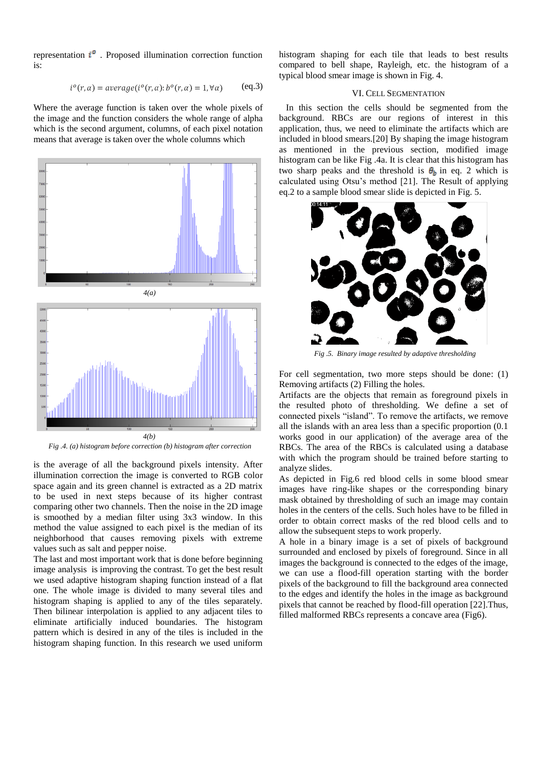representation  $i^{\circ}$  . Proposed illumination correction function is:

$$
i^{o}(r, \alpha) = average(i^{o}(r, \alpha); b^{o}(r, \alpha) = 1, \forall \alpha)
$$
 (eq.3)

Where the average function is taken over the whole pixels of the image and the function considers the whole range of alpha which is the second argument, columns, of each pixel notation means that average is taken over the whole columns which



*Fig .4. (a) histogram before correction (b) histogram after correction*

is the average of all the background pixels intensity. After illumination correction the image is converted to RGB color space again and its green channel is extracted as a 2D matrix to be used in next steps because of its higher contrast comparing other two channels. Then the noise in the 2D image is smoothed by a median filter using 3x3 window. In this method the value assigned to each pixel is the median of its neighborhood that causes removing pixels with extreme values such as salt and pepper noise.

The last and most important work that is done before beginning image analysis is improving the contrast. To get the best result we used adaptive histogram shaping function instead of a flat one. The whole image is divided to many several tiles and histogram shaping is applied to any of the tiles separately. Then bilinear interpolation is applied to any adjacent tiles to eliminate artificially induced boundaries. The histogram pattern which is desired in any of the tiles is included in the histogram shaping function. In this research we used uniform

histogram shaping for each tile that leads to best results compared to bell shape, Rayleigh, etc. the histogram of a typical blood smear image is shown in Fig. 4.

## VI. CELL SEGMENTATION

 In this section the cells should be segmented from the background. RBCs are our regions of interest in this application, thus, we need to eliminate the artifacts which are included in blood smears.[20] By shaping the image histogram as mentioned in the previous section, modified image histogram can be like Fig .4a. It is clear that this histogram has two sharp peaks and the threshold is  $\theta_h$  in eq. 2 which is calculated using Otsu's method [21]. The Result of applying eq.2 to a sample blood smear slide is depicted in Fig. 5.



*Fig .5. Binary image resulted by adaptive thresholding*

For cell segmentation, two more steps should be done: (1) Removing artifacts (2) Filling the holes.

Artifacts are the objects that remain as foreground pixels in the resulted photo of thresholding. We define a set of connected pixels "island". To remove the artifacts, we remove all the islands with an area less than a specific proportion (0.1 works good in our application) of the average area of the RBCs. The area of the RBCs is calculated using a database with which the program should be trained before starting to analyze slides.

As depicted in Fig.6 red blood cells in some blood smear images have ring-like shapes or the corresponding binary mask obtained by thresholding of such an image may contain holes in the centers of the cells. Such holes have to be filled in order to obtain correct masks of the red blood cells and to allow the subsequent steps to work properly.

A hole in a binary image is a set of pixels of background surrounded and enclosed by pixels of foreground. Since in all images the background is connected to the edges of the image, we can use a flood-fill operation starting with the border pixels of the background to fill the background area connected to the edges and identify the holes in the image as background pixels that cannot be reached by flood-fill operation [22].Thus, filled malformed RBCs represents a concave area (Fig6).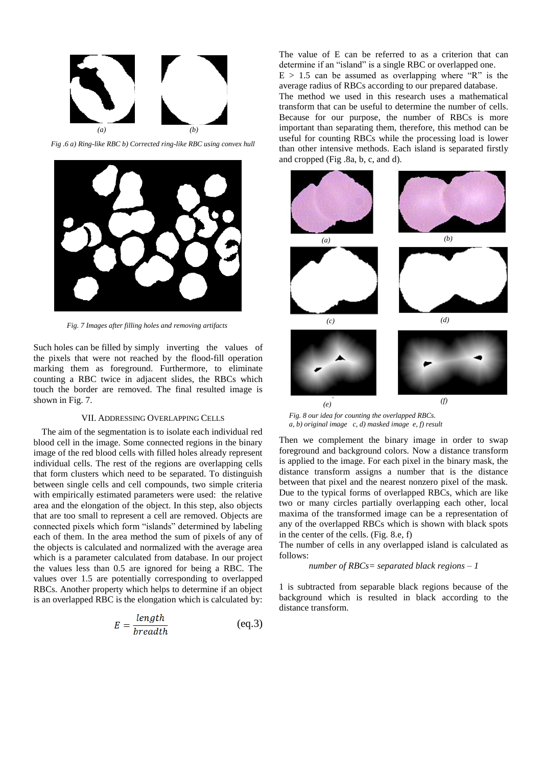

*Fig .6 a) Ring-like RBC b) Corrected ring-like RBC using convex hull*



*Fig. 7 Images after filling holes and removing artifacts*

Such holes can be filled by simply inverting the values of the pixels that were not reached by the flood-fill operation marking them as foreground. Furthermore, to eliminate counting a RBC twice in adjacent slides, the RBCs which touch the border are removed. The final resulted image is shown in Fig. 7.

# VII. ADDRESSING OVERLAPPING CELLS

 The aim of the segmentation is to isolate each individual red blood cell in the image. Some connected regions in the binary image of the red blood cells with filled holes already represent individual cells. The rest of the regions are overlapping cells that form clusters which need to be separated. To distinguish between single cells and cell compounds, two simple criteria with empirically estimated parameters were used: the relative area and the elongation of the object. In this step, also objects that are too small to represent a cell are removed. Objects are connected pixels which form "islands" determined by labeling each of them. In the area method the sum of pixels of any of the objects is calculated and normalized with the average area which is a parameter calculated from database. In our project the values less than 0.5 are ignored for being a RBC. The values over 1.5 are potentially corresponding to overlapped RBCs. Another property which helps to determine if an object is an overlapped RBC is the elongation which is calculated by:

$$
E = \frac{length}{breadth}
$$
 (eq.3)

The value of E can be referred to as a criterion that can determine if an "island" is a single RBC or overlapped one.  $E > 1.5$  can be assumed as overlapping where "R" is the average radius of RBCs according to our prepared database. The method we used in this research uses a mathematical transform that can be useful to determine the number of cells. Because for our purpose, the number of RBCs is more important than separating them, therefore, this method can be useful for counting RBCs while the processing load is lower than other intensive methods. Each island is separated firstly and cropped (Fig .8a, b, c, and d).



*Fig. 8 our idea for counting the overlapped RBCs. a, b) original image c, d) masked image e, f) result*

Then we complement the binary image in order to swap foreground and background colors. Now a distance transform is applied to the image. For each pixel in the binary mask, the distance transform assigns a number that is the distance between that pixel and the nearest nonzero pixel of the mask. Due to the typical forms of overlapped RBCs, which are like two or many circles partially overlapping each other, local maxima of the transformed image can be a representation of any of the overlapped RBCs which is shown with black spots in the center of the cells. (Fig. 8.e, f)

The number of cells in any overlapped island is calculated as follows:

*number of RBCs= separated black regions – 1*

1 is subtracted from separable black regions because of the background which is resulted in black according to the distance transform.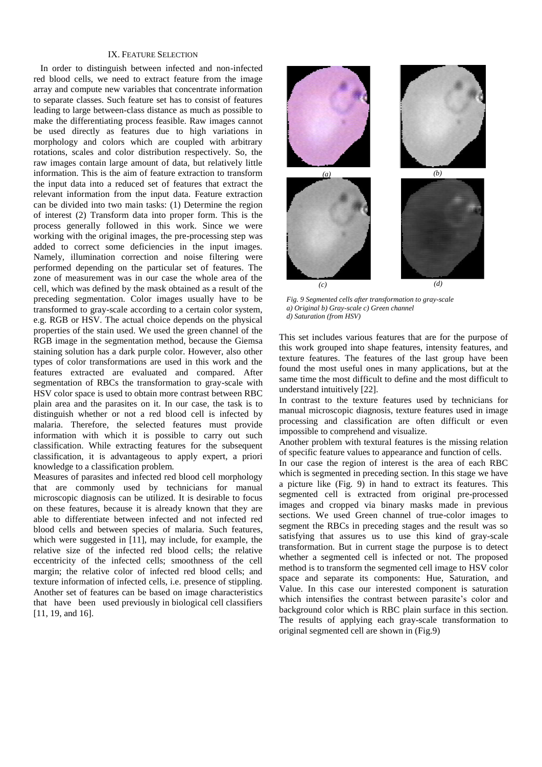## IX. FEATURE SELECTION

 In order to distinguish between infected and non-infected red blood cells, we need to extract feature from the image array and compute new variables that concentrate information to separate classes. Such feature set has to consist of features leading to large between-class distance as much as possible to make the differentiating process feasible. Raw images cannot be used directly as features due to high variations in morphology and colors which are coupled with arbitrary rotations, scales and color distribution respectively. So, the raw images contain large amount of data, but relatively little information. This is the aim of feature extraction to transform the input data into a reduced set of features that extract the relevant information from the input data. Feature extraction can be divided into two main tasks: (1) Determine the region of interest (2) Transform data into proper form. This is the process generally followed in this work. Since we were working with the original images, the pre-processing step was added to correct some deficiencies in the input images. Namely, illumination correction and noise filtering were performed depending on the particular set of features. The zone of measurement was in our case the whole area of the cell, which was defined by the mask obtained as a result of the preceding segmentation. Color images usually have to be transformed to gray-scale according to a certain color system, e.g. RGB or HSV. The actual choice depends on the physical properties of the stain used. We used the green channel of the RGB image in the segmentation method, because the Giemsa staining solution has a dark purple color. However, also other types of color transformations are used in this work and the features extracted are evaluated and compared. After segmentation of RBCs the transformation to gray-scale with HSV color space is used to obtain more contrast between RBC plain area and the parasites on it. In our case, the task is to distinguish whether or not a red blood cell is infected by malaria. Therefore, the selected features must provide information with which it is possible to carry out such classification. While extracting features for the subsequent classification, it is advantageous to apply expert, a priori knowledge to a classification problem.

Measures of parasites and infected red blood cell morphology that are commonly used by technicians for manual microscopic diagnosis can be utilized. It is desirable to focus on these features, because it is already known that they are able to differentiate between infected and not infected red blood cells and between species of malaria. Such features, which were suggested in [11], may include, for example, the relative size of the infected red blood cells; the relative eccentricity of the infected cells; smoothness of the cell margin; the relative color of infected red blood cells; and texture information of infected cells, i.e. presence of stippling. Another set of features can be based on image characteristics that have been used previously in biological cell classifiers [11, 19, and 16].



*Fig. 9 Segmented cells after transformation to gray-scale a) Original b) Gray-scale c) Green channel d) Saturation (from HSV)*

This set includes various features that are for the purpose of this work grouped into shape features, intensity features, and texture features. The features of the last group have been found the most useful ones in many applications, but at the same time the most difficult to define and the most difficult to understand intuitively [22].

In contrast to the texture features used by technicians for manual microscopic diagnosis, texture features used in image processing and classification are often difficult or even impossible to comprehend and visualize.

Another problem with textural features is the missing relation of specific feature values to appearance and function of cells.

In our case the region of interest is the area of each RBC which is segmented in preceding section. In this stage we have a picture like (Fig. 9) in hand to extract its features. This segmented cell is extracted from original pre-processed images and cropped via binary masks made in previous sections. We used Green channel of true-color images to segment the RBCs in preceding stages and the result was so satisfying that assures us to use this kind of gray-scale transformation. But in current stage the purpose is to detect whether a segmented cell is infected or not. The proposed method is to transform the segmented cell image to HSV color space and separate its components: Hue, Saturation, and Value. In this case our interested component is saturation which intensifies the contrast between parasite's color and background color which is RBC plain surface in this section. The results of applying each gray-scale transformation to original segmented cell are shown in (Fig.9)